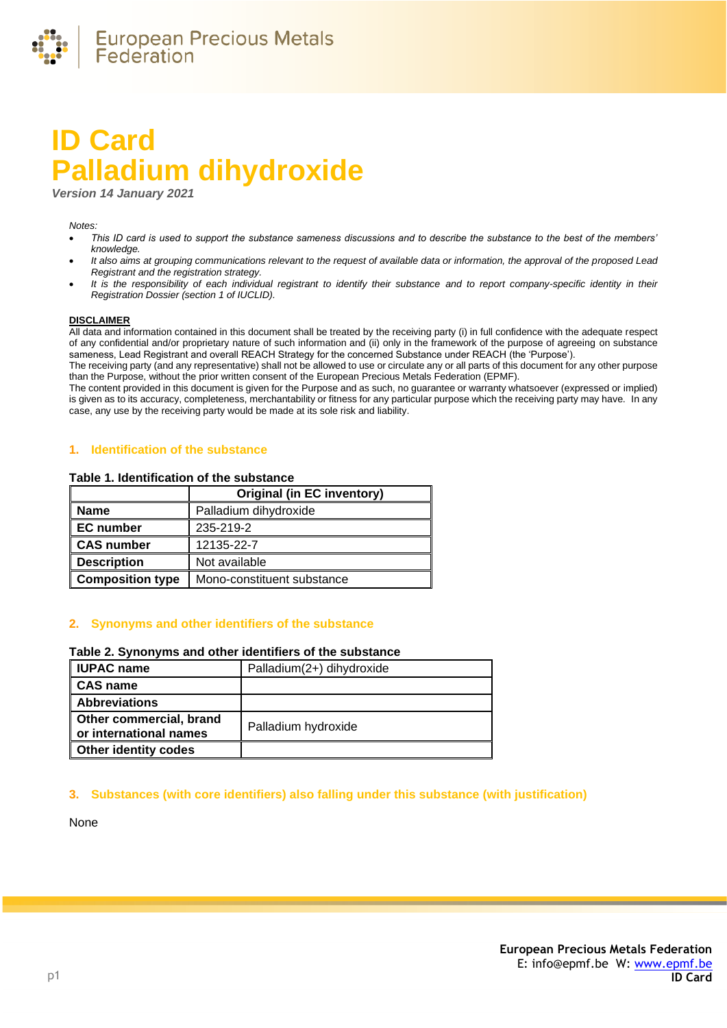

# **ID Card Palladium dihydroxide**

*Version 14 January 2021*

#### *Notes:*

- *This ID card is used to support the substance sameness discussions and to describe the substance to the best of the members' knowledge.*
- *It also aims at grouping communications relevant to the request of available data or information, the approval of the proposed Lead Registrant and the registration strategy.*
- *It is the responsibility of each individual registrant to identify their substance and to report company-specific identity in their Registration Dossier (section 1 of IUCLID).*

#### **DISCLAIMER**

All data and information contained in this document shall be treated by the receiving party (i) in full confidence with the adequate respect of any confidential and/or proprietary nature of such information and (ii) only in the framework of the purpose of agreeing on substance sameness, Lead Registrant and overall REACH Strategy for the concerned Substance under REACH (the 'Purpose').

The receiving party (and any representative) shall not be allowed to use or circulate any or all parts of this document for any other purpose than the Purpose, without the prior written consent of the European Precious Metals Federation (EPMF).

The content provided in this document is given for the Purpose and as such, no guarantee or warranty whatsoever (expressed or implied) is given as to its accuracy, completeness, merchantability or fitness for any particular purpose which the receiving party may have. In any case, any use by the receiving party would be made at its sole risk and liability.

### **1. Identification of the substance**

#### **Table 1. Identification of the substance**

|                         | <b>Original (in EC inventory)</b> |  |
|-------------------------|-----------------------------------|--|
| <b>Name</b>             | Palladium dihydroxide             |  |
| <b>EC</b> number        | 235-219-2                         |  |
| <b>CAS number</b>       | 12135-22-7                        |  |
| <b>Description</b>      | Not available                     |  |
| <b>Composition type</b> | Mono-constituent substance        |  |

## **2. Synonyms and other identifiers of the substance**

#### **Table 2. Synonyms and other identifiers of the substance**

| <b>IUPAC</b> name                                 | Palladium(2+) dihydroxide |
|---------------------------------------------------|---------------------------|
| CAS name                                          |                           |
| <b>Abbreviations</b>                              |                           |
| Other commercial, brand<br>or international names | Palladium hydroxide       |
| <b>Other identity codes</b>                       |                           |

## **3. Substances (with core identifiers) also falling under this substance (with justification)**

None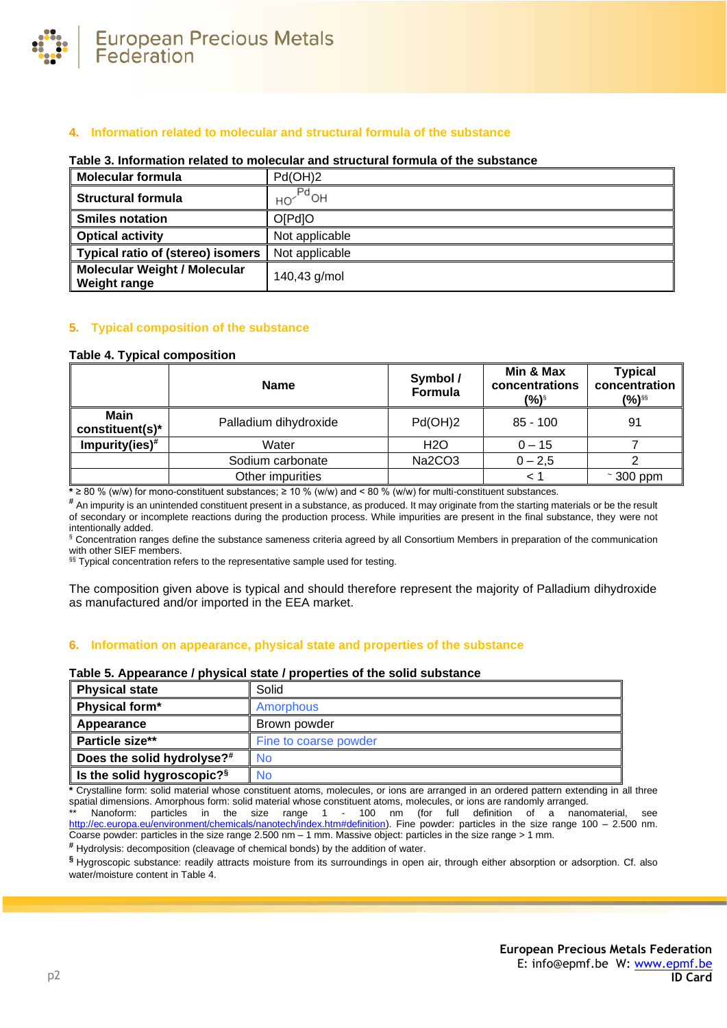

# **4. Information related to molecular and structural formula of the substance**

#### **Table 3. Information related to molecular and structural formula of the substance**

| <b>Molecular formula</b>                                   | Pd(OH)2        |
|------------------------------------------------------------|----------------|
| <b>Structural formula</b>                                  | $Pd$ OH<br>HO. |
| <b>Smiles notation</b>                                     | O[Pd]O         |
| <b>Optical activity</b>                                    | Not applicable |
| <b>Typical ratio of (stereo) isomers</b>                   | Not applicable |
| <b>Molecular Weight / Molecular</b><br><b>Weight range</b> | 140,43 g/mol   |

## **5. Typical composition of the substance**

#### <span id="page-1-0"></span>**Table 4. Typical composition**

|                         | <b>Name</b>           | Symbol /<br>Formula | Min & Max<br>concentrations<br>(%) | <b>Typical</b><br>concentration<br>(%)§§ |
|-------------------------|-----------------------|---------------------|------------------------------------|------------------------------------------|
| Main<br>constituent(s)* | Palladium dihydroxide | Pd(OH)2             | $85 - 100$                         | 91                                       |
| Impurity(ies) $#$       | Water                 | H <sub>2</sub> O    | $0 - 15$                           |                                          |
| Sodium carbonate        |                       | Na2CO3              | $0 - 2,5$                          |                                          |
|                         | Other impurities      |                     |                                    | $\sim$ 300 ppm                           |

**\*** ≥ 80 % (w/w) for mono-constituent substances; ≥ 10 % (w/w) and < 80 % (w/w) for multi-constituent substances.

**#** An impurity is an unintended constituent present in a substance, as produced. It may originate from the starting materials or be the result of secondary or incomplete reactions during the production process. While impurities are present in the final substance, they were not intentionally added.

§ Concentration ranges define the substance sameness criteria agreed by all Consortium Members in preparation of the communication with other SIEF members.

§§ Typical concentration refers to the representative sample used for testing.

The composition given above is typical and should therefore represent the majority of Palladium dihydroxide as manufactured and/or imported in the EEA market.

#### **6. Information on appearance, physical state and properties of the substance**

## **Table 5. Appearance / physical state / properties of the solid substance**

| <b>Physical state</b>                  | Solid                 |
|----------------------------------------|-----------------------|
| Physical form*                         | Amorphous             |
| Appearance                             | Brown powder          |
| Particle size**                        | Fine to coarse powder |
| Does the solid hydrolyse?#             | No                    |
| Is the solid hygroscopic? <sup>§</sup> | <b>No</b>             |

**\*** Crystalline form: solid material whose constituent atoms, molecules, or ions are arranged in an ordered pattern extending in all three spatial dimensions. Amorphous form: solid material whose constituent atoms, molecules, or ions are randomly arranged.

\*\* Nanoform: particles in the size range 1 - 100 nm (for full definition of a nanomaterial, see [http://ec.europa.eu/environment/chemicals/nanotech/index.htm#definition\)](http://ec.europa.eu/environment/chemicals/nanotech/index.htm#definition). Fine powder: particles in the size range 100 – 2.500 nm. Coarse powder: particles in the size range 2.500 nm – 1 mm. Massive object: particles in the size range > 1 mm.

**#** Hydrolysis: decomposition (cleavage of chemical bonds) by the addition of water.

**§** Hygroscopic substance: readily attracts moisture from its surroundings in open air, through either absorption or adsorption. Cf. also water/moisture content i[n Table 4.](#page-1-0)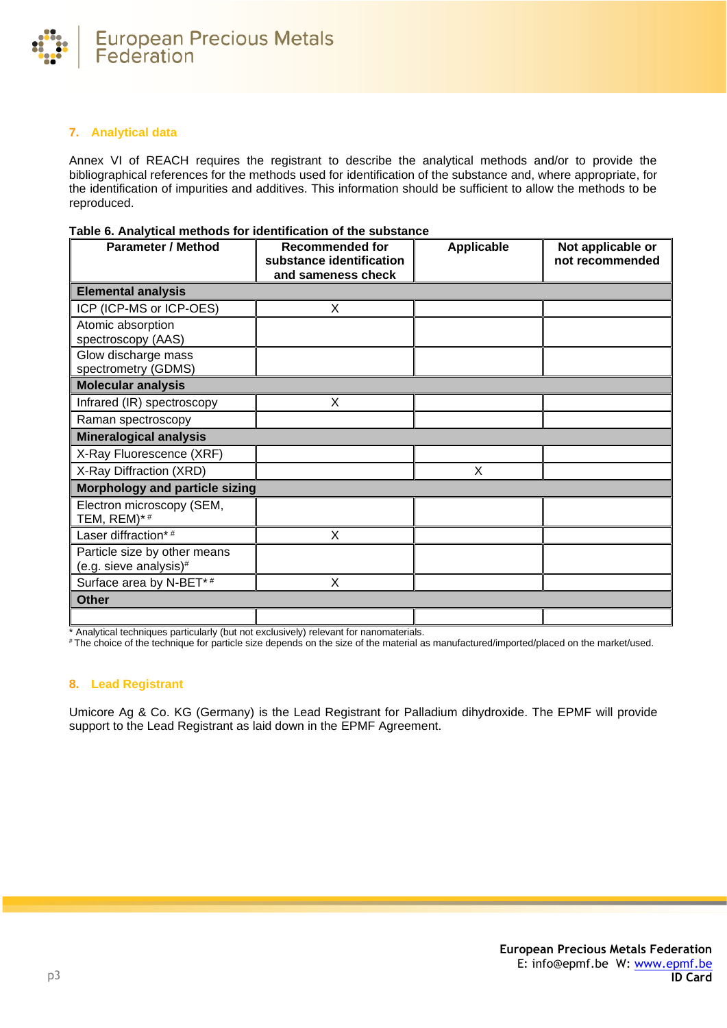

# **7. Analytical data**

Annex VI of REACH requires the registrant to describe the analytical methods and/or to provide the bibliographical references for the methods used for identification of the substance and, where appropriate, for the identification of impurities and additives. This information should be sufficient to allow the methods to be reproduced.

## **Table 6. Analytical methods for identification of the substance**

| <b>Parameter / Method</b>                              | <b>Recommended for</b><br>substance identification<br>and sameness check | Applicable | Not applicable or<br>not recommended |
|--------------------------------------------------------|--------------------------------------------------------------------------|------------|--------------------------------------|
| <b>Elemental analysis</b>                              |                                                                          |            |                                      |
| ICP (ICP-MS or ICP-OES)                                | X                                                                        |            |                                      |
| Atomic absorption<br>spectroscopy (AAS)                |                                                                          |            |                                      |
| Glow discharge mass<br>spectrometry (GDMS)             |                                                                          |            |                                      |
| <b>Molecular analysis</b>                              |                                                                          |            |                                      |
| Infrared (IR) spectroscopy                             | X                                                                        |            |                                      |
| Raman spectroscopy                                     |                                                                          |            |                                      |
| <b>Mineralogical analysis</b>                          |                                                                          |            |                                      |
| X-Ray Fluorescence (XRF)                               |                                                                          |            |                                      |
| X-Ray Diffraction (XRD)                                |                                                                          | X          |                                      |
| Morphology and particle sizing                         |                                                                          |            |                                      |
| Electron microscopy (SEM,<br>TEM, REM)*#               |                                                                          |            |                                      |
| Laser diffraction*#                                    | X                                                                        |            |                                      |
| Particle size by other means<br>(e.g. sieve analysis)# |                                                                          |            |                                      |
| Surface area by N-BET*#                                | X                                                                        |            |                                      |
| <b>Other</b>                                           |                                                                          |            |                                      |
|                                                        |                                                                          |            |                                      |

\* Analytical techniques particularly (but not exclusively) relevant for nanomaterials.

# The choice of the technique for particle size depends on the size of the material as manufactured/imported/placed on the market/used.

# **8. Lead Registrant**

Umicore Ag & Co. KG (Germany) is the Lead Registrant for Palladium dihydroxide. The EPMF will provide support to the Lead Registrant as laid down in the EPMF Agreement.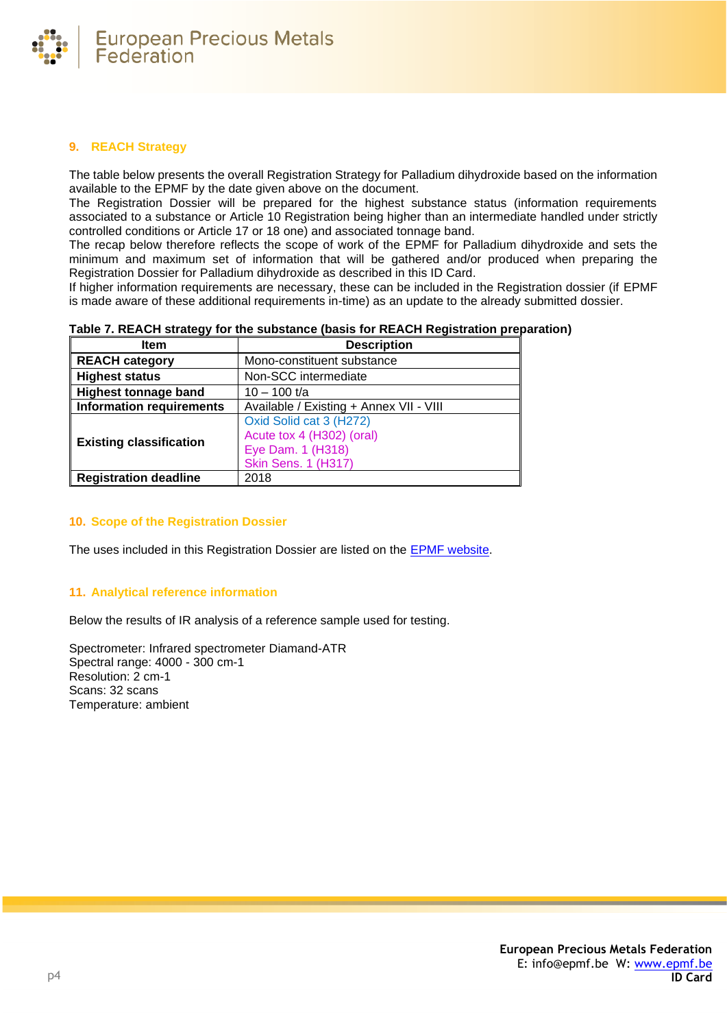

# **9. REACH Strategy**

The table below presents the overall Registration Strategy for Palladium dihydroxide based on the information available to the EPMF by the date given above on the document.

The Registration Dossier will be prepared for the highest substance status (information requirements associated to a substance or Article 10 Registration being higher than an intermediate handled under strictly controlled conditions or Article 17 or 18 one) and associated tonnage band.

The recap below therefore reflects the scope of work of the EPMF for Palladium dihydroxide and sets the minimum and maximum set of information that will be gathered and/or produced when preparing the Registration Dossier for Palladium dihydroxide as described in this ID Card.

If higher information requirements are necessary, these can be included in the Registration dossier (if EPMF is made aware of these additional requirements in-time) as an update to the already submitted dossier.

| Item                            | <b>Description</b>                      |
|---------------------------------|-----------------------------------------|
| <b>REACH category</b>           | Mono-constituent substance              |
| <b>Highest status</b>           | Non-SCC intermediate                    |
| <b>Highest tonnage band</b>     | $10 - 100$ t/a                          |
| <b>Information requirements</b> | Available / Existing + Annex VII - VIII |
| <b>Existing classification</b>  | Oxid Solid cat 3 (H272)                 |
|                                 | Acute tox 4 (H302) (oral)               |
|                                 | Eye Dam. 1 (H318)                       |
|                                 | <b>Skin Sens. 1 (H317)</b>              |
| <b>Registration deadline</b>    | 2018                                    |

## **10. Scope of the Registration Dossier**

The uses included in this Registration Dossier are listed on the [EPMF website.](https://www.epmf.be/)

## **11. Analytical reference information**

Below the results of IR analysis of a reference sample used for testing.

Spectrometer: Infrared spectrometer Diamand-ATR Spectral range: 4000 - 300 cm-1 Resolution: 2 cm-1 Scans: 32 scans Temperature: ambient